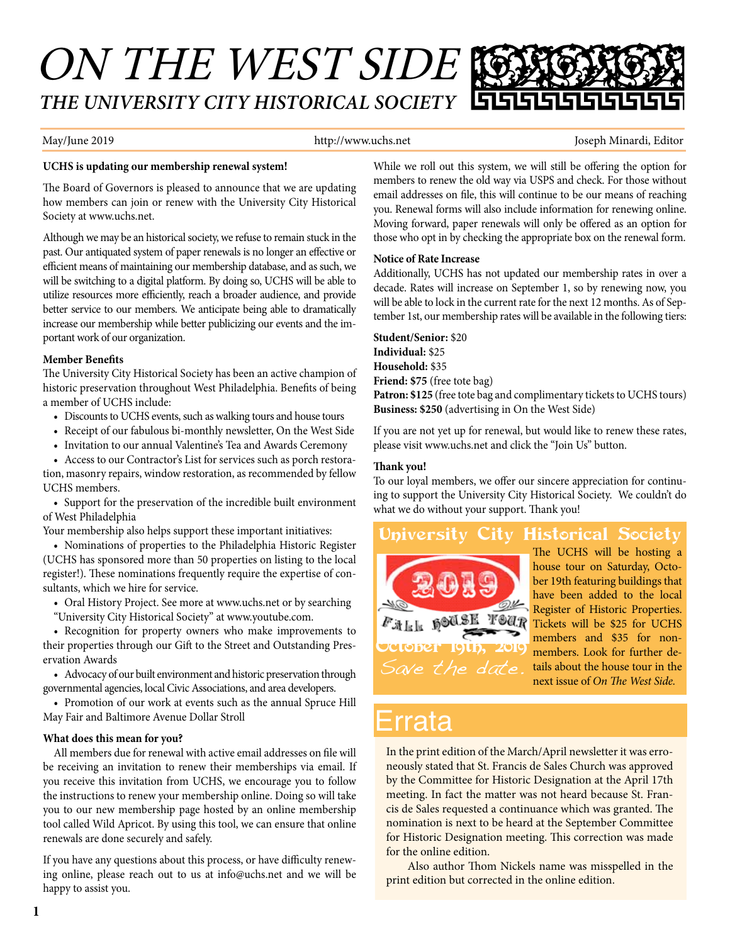# ON THE WEST SIDE *THE UNIVERSITY CITY HISTORICAL SOCIETY*

May/June 2019 **http://www.uchs.net** Joseph Minardi, Editor

#### **UCHS is updating our membership renewal system!**

The Board of Governors is pleased to announce that we are updating how members can join or renew with the University City Historical Society at www.uchs.net.

Although we may be an historical society, we refuse to remain stuck in the past. Our antiquated system of paper renewals is no longer an efective or efficient means of maintaining our membership database, and as such, we will be switching to a digital platform. By doing so, UCHS will be able to utilize resources more efficiently, reach a broader audience, and provide better service to our members. We anticipate being able to dramatically increase our membership while better publicizing our events and the important work of our organization.

#### **Member Benefts**

The University City Historical Society has been an active champion of historic preservation throughout West Philadelphia. Benefts of being a member of UCHS include:

- Discounts to UCHS events, such as walking tours and house tours
- Receipt of our fabulous bi-monthly newsletter, On the West Side
- Invitation to our annual Valentine's Tea and Awards Ceremony

• Access to our Contractor's List for services such as porch restoration, masonry repairs, window restoration, as recommended by fellow UCHS members.

• Support for the preservation of the incredible built environment of West Philadelphia

Your membership also helps support these important initiatives:

• Nominations of properties to the Philadelphia Historic Register (UCHS has sponsored more than 50 properties on listing to the local register!). These nominations frequently require the expertise of consultants, which we hire for service.

- Oral History Project. See more at www.uchs.net or by searching
- "University City Historical Society" at www.youtube.com.

• Recognition for property owners who make improvements to their properties through our Gift to the Street and Outstanding Preservation Awards

• Advocacy of our built environment and historic preservation through governmental agencies, local Civic Associations, and area developers.

• Promotion of our work at events such as the annual Spruce Hill May Fair and Baltimore Avenue Dollar Stroll

#### **What does this mean for you?**

All members due for renewal with active email addresses on fle will be receiving an invitation to renew their memberships via email. If you receive this invitation from UCHS, we encourage you to follow the instructions to renew your membership online. Doing so will take you to our new membership page hosted by an online membership tool called Wild Apricot. By using this tool, we can ensure that online renewals are done securely and safely.

If you have any questions about this process, or have difficulty renewing online, please reach out to us at info@uchs.net and we will be happy to assist you.

While we roll out this system, we will still be offering the option for members to renew the old way via USPS and check. For those without email addresses on fle, this will continue to be our means of reaching you. Renewal forms will also include information for renewing online. Moving forward, paper renewals will only be ofered as an option for those who opt in by checking the appropriate box on the renewal form.

#### **Notice of Rate Increase**

Additionally, UCHS has not updated our membership rates in over a decade. Rates will increase on September 1, so by renewing now, you will be able to lock in the current rate for the next 12 months. As of September 1st, our membership rates will be available in the following tiers:

**Student/Senior:** \$20 **Individual:** \$25 **Household:** \$35 **Friend: \$75** (free tote bag) **Patron: \$125** (free tote bag and complimentary tickets to UCHS tours) **Business: \$250** (advertising in On the West Side)

If you are not yet up for renewal, but would like to renew these rates, please visit www.uchs.net and click the "Join Us" button.

#### **Tank you!**

To our loyal members, we offer our sincere appreciation for continuing to support the University City Historical Society. We couldn't do what we do without your support. Thank you!

#### University City Historical Society The UCHS will be hosting a house tour on Saturday, October 19th featuring buildings that

Save the date. tober 19th,

have been added to the local Register of Historic Properties.  $F_{\mathcal{A}}|_{\mathbb{R}}$  is  $\mathcal{A} \mathcal{B}$  if  $\mathcal{A}$  and  $\mathcal{A}$  and  $\mathcal{A}$  and  $\mathcal{B}$  and  $\mathcal{B}$  and  $\mathcal{B}$  and  $\mathcal{B}$  are  $\mathcal{B}$  and  $\mathcal{B}$  and  $\mathcal{B}$  are  $\mathcal{B}$  and  $\mathcal{B}$  are  $\mathcal{B}$  and  $\mathcal{B}$  are members and \$35 for nonmembers. Look for further details about the house tour in the next issue of *On The West Side*.

## Errata

In the print edition of the March/April newsletter it was erroneously stated that St. Francis de Sales Church was approved by the Committee for Historic Designation at the April 17th meeting. In fact the matter was not heard because St. Francis de Sales requested a continuance which was granted. The nomination is next to be heard at the September Committee for Historic Designation meeting. This correction was made for the online edition.

Also author Thom Nickels name was misspelled in the print edition but corrected in the online edition.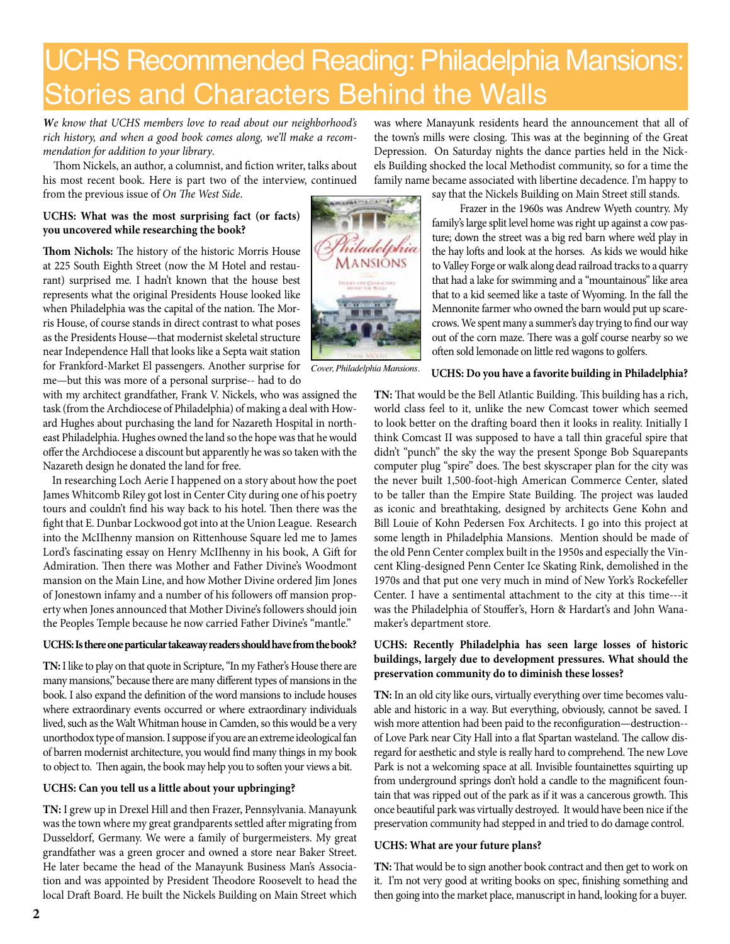## UCHS Recommended Reading: Philadelphia Mansions: Stories and Characters Behind the Walls

*We know that UCHS members love to read about our neighborhood's rich history, and when a good book comes along, we'll make a recommendation for addition to your library*.

Thom Nickels, an author, a columnist, and fiction writer, talks about his most recent book. Here is part two of the interview, continued from the previous issue of *On The West Side*.

#### **UCHS: What was the most surprising fact (or facts) you uncovered while researching the book?**

Thom Nichols: The history of the historic Morris House at 225 South Eighth Street (now the M Hotel and restaurant) surprised me. I hadn't known that the house best represents what the original Presidents House looked like when Philadelphia was the capital of the nation. The Morris House, of course stands in direct contrast to what poses as the Presidents House—that modernist skeletal structure near Independence Hall that looks like a Septa wait station for Frankford-Market El passengers. Another surprise for me—but this was more of a personal surprise-- had to do

with my architect grandfather, Frank V. Nickels, who was assigned the task (from the Archdiocese of Philadelphia) of making a deal with Howard Hughes about purchasing the land for Nazareth Hospital in northeast Philadelphia. Hughes owned the land so the hope was that he would ofer the Archdiocese a discount but apparently he was so taken with the Nazareth design he donated the land for free.

 In researching Loch Aerie I happened on a story about how the poet James Whitcomb Riley got lost in Center City during one of his poetry tours and couldn't find his way back to his hotel. Then there was the fght that E. Dunbar Lockwood got into at the Union League. Research into the McIIhenny mansion on Rittenhouse Square led me to James Lord's fascinating essay on Henry McIIhenny in his book, A Gift for Admiration. Then there was Mother and Father Divine's Woodmont mansion on the Main Line, and how Mother Divine ordered Jim Jones of Jonestown infamy and a number of his followers of mansion property when Jones announced that Mother Divine's followers should join the Peoples Temple because he now carried Father Divine's "mantle."

#### **UCHS: Is there one particular takeaway readers should have from the book?**

TN: I like to play on that quote in Scripture, "In my Father's House there are many mansions," because there are many diferent types of mansions in the book. I also expand the defnition of the word mansions to include houses where extraordinary events occurred or where extraordinary individuals lived, such as the Walt Whitman house in Camden, so this would be a very unorthodox type of mansion. I suppose if you are an extreme ideological fan of barren modernist architecture, you would fnd many things in my book to object to. Then again, the book may help you to soften your views a bit.

#### **UCHS: Can you tell us a little about your upbringing?**

**TN:** I grew up in Drexel Hill and then Frazer, Pennsylvania. Manayunk was the town where my great grandparents settled after migrating from Dusseldorf, Germany. We were a family of burgermeisters. My great grandfather was a green grocer and owned a store near Baker Street. He later became the head of the Manayunk Business Man's Association and was appointed by President Theodore Roosevelt to head the local Draft Board. He built the Nickels Building on Main Street which was where Manayunk residents heard the announcement that all of the town's mills were closing. This was at the beginning of the Great Depression. On Saturday nights the dance parties held in the Nickels Building shocked the local Methodist community, so for a time the family name became associated with libertine decadence. I'm happy to say that the Nickels Building on Main Street still stands.

Frazer in the 1960s was Andrew Wyeth country. My family's large split level home was right up against a cow pasture; down the street was a big red barn where we'd play in the hay lofs and look at the horses. As kids we would hike to Valley Forge or walk along dead railroad tracks to a quarry that had a lake for swimming and a "mountainous" like area that to a kid seemed like a taste of Wyoming. In the fall the Mennonite farmer who owned the barn would put up scarecrows. We spent many a summer's day trying to find our way out of the corn maze. There was a golf course nearby so we often sold lemonade on little red wagons to golfers.

#### *Cover, Philadelphia Mansions.*

**UCHS: Do you have a favorite building in Philadelphia?** TN: That would be the Bell Atlantic Building. This building has a rich,

world class feel to it, unlike the new Comcast tower which seemed to look better on the drafing board then it looks in reality. Initially I think Comcast II was supposed to have a tall thin graceful spire that didn't "punch" the sky the way the present Sponge Bob Squarepants computer plug "spire" does. The best skyscraper plan for the city was the never built 1,500-foot-high American Commerce Center, slated to be taller than the Empire State Building. The project was lauded as iconic and breathtaking, designed by architects Gene Kohn and Bill Louie of Kohn Pedersen Fox Architects. I go into this project at some length in Philadelphia Mansions. Mention should be made of the old Penn Center complex built in the 1950s and especially the Vincent Kling-designed Penn Center Ice Skating Rink, demolished in the 1970s and that put one very much in mind of New York's Rockefeller Center. I have a sentimental attachment to the city at this time---it was the Philadelphia of Stouffer's, Horn & Hardart's and John Wanamaker's department store.

#### **UCHS: Recently Philadelphia has seen large losses of historic buildings, largely due to development pressures. What should the preservation community do to diminish these losses?**

**TN:** In an old city like ours, virtually everything over time becomes valuable and historic in a way. But everything, obviously, cannot be saved. I wish more attention had been paid to the reconfguration—destruction- of Love Park near City Hall into a flat Spartan wasteland. The callow disregard for aesthetic and style is really hard to comprehend. The new Love Park is not a welcoming space at all. Invisible fountainettes squirting up from underground springs don't hold a candle to the magnificent fountain that was ripped out of the park as if it was a cancerous growth. This once beautiful park was virtually destroyed. It would have been nice if the preservation community had stepped in and tried to do damage control.

#### **UCHS: What are your future plans?**

TN: That would be to sign another book contract and then get to work on it. I'm not very good at writing books on spec, finishing something and then going into the market place, manuscript in hand, looking for a buyer.

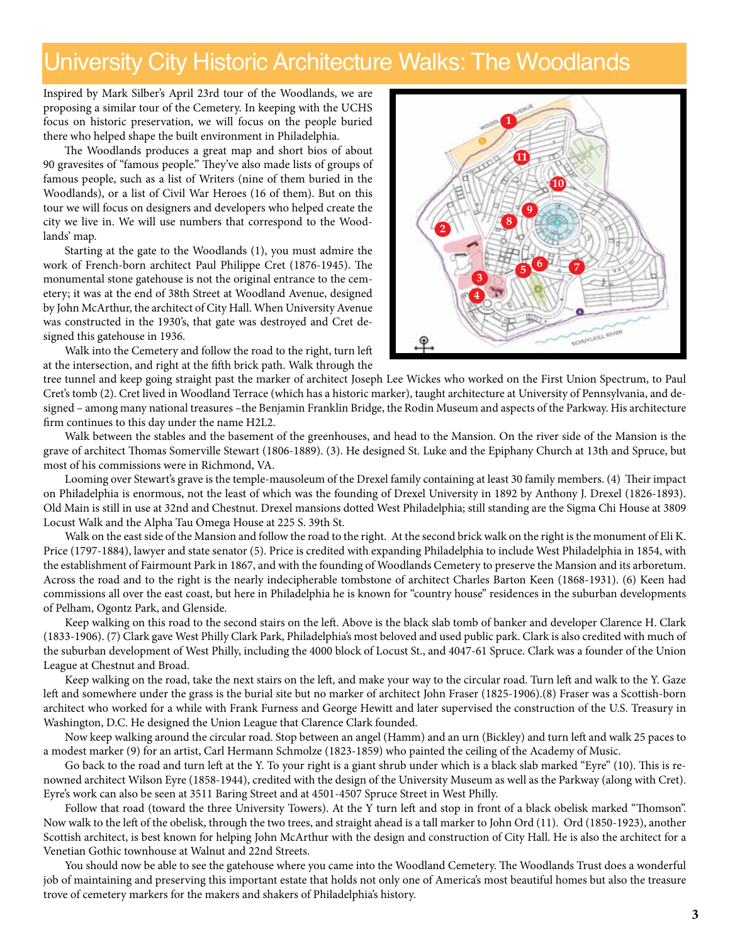### University City Historic Architecture Walks: The Woodlands

Inspired by Mark Silber's April 23rd tour of the Woodlands, we are proposing a similar tour of the Cemetery. In keeping with the UCHS focus on historic preservation, we will focus on the people buried there who helped shape the built environment in Philadelphia.

The Woodlands produces a great map and short bios of about 90 gravesites of "famous people." They've also made lists of groups of famous people, such as a list of Writers (nine of them buried in the Woodlands), or a list of Civil War Heroes (16 of them). But on this tour we will focus on designers and developers who helped create the city we live in. We will use numbers that correspond to the Woodlands' map.

Starting at the gate to the Woodlands (1), you must admire the work of French-born architect Paul Philippe Cret (1876-1945). The monumental stone gatehouse is not the original entrance to the cemetery; it was at the end of 38th Street at Woodland Avenue, designed by John McArthur, the architect of City Hall. When University Avenue was constructed in the 1930's, that gate was destroyed and Cret designed this gatehouse in 1936.

Walk into the Cemetery and follow the road to the right, turn lef at the intersection, and right at the ffh brick path. Walk through the



tree tunnel and keep going straight past the marker of architect Joseph Lee Wickes who worked on the First Union Spectrum, to Paul Cret's tomb (2). Cret lived in Woodland Terrace (which has a historic marker), taught architecture at University of Pennsylvania, and designed – among many national treasures –the Benjamin Franklin Bridge, the Rodin Museum and aspects of the Parkway. His architecture frm continues to this day under the name H2L2.

Walk between the stables and the basement of the greenhouses, and head to the Mansion. On the river side of the Mansion is the grave of architect Tomas Somerville Stewart (1806-1889). (3). He designed St. Luke and the Epiphany Church at 13th and Spruce, but most of his commissions were in Richmond, VA.

Looming over Stewart's grave is the temple-mausoleum of the Drexel family containing at least 30 family members. (4) Their impact on Philadelphia is enormous, not the least of which was the founding of Drexel University in 1892 by Anthony J. Drexel (1826-1893). Old Main is still in use at 32nd and Chestnut. Drexel mansions dotted West Philadelphia; still standing are the Sigma Chi House at 3809 Locust Walk and the Alpha Tau Omega House at 225 S. 39th St.

Walk on the east side of the Mansion and follow the road to the right. At the second brick walk on the right is the monument of Eli K. Price (1797-1884), lawyer and state senator (5). Price is credited with expanding Philadelphia to include West Philadelphia in 1854, with the establishment of Fairmount Park in 1867, and with the founding of Woodlands Cemetery to preserve the Mansion and its arboretum. Across the road and to the right is the nearly indecipherable tombstone of architect Charles Barton Keen (1868-1931). (6) Keen had commissions all over the east coast, but here in Philadelphia he is known for "country house" residences in the suburban developments of Pelham, Ogontz Park, and Glenside.

Keep walking on this road to the second stairs on the lef. Above is the black slab tomb of banker and developer Clarence H. Clark (1833-1906). (7) Clark gave West Philly Clark Park, Philadelphia's most beloved and used public park. Clark is also credited with much of the suburban development of West Philly, including the 4000 block of Locust St., and 4047-61 Spruce. Clark was a founder of the Union League at Chestnut and Broad.

Keep walking on the road, take the next stairs on the left, and make your way to the circular road. Turn left and walk to the Y. Gaze left and somewhere under the grass is the burial site but no marker of architect John Fraser (1825-1906).(8) Fraser was a Scottish-born architect who worked for a while with Frank Furness and George Hewitt and later supervised the construction of the U.S. Treasury in Washington, D.C. He designed the Union League that Clarence Clark founded.

Now keep walking around the circular road. Stop between an angel (Hamm) and an urn (Bickley) and turn lef and walk 25 paces to a modest marker (9) for an artist, Carl Hermann Schmolze (1823-1859) who painted the ceiling of the Academy of Music.

Go back to the road and turn left at the Y. To your right is a giant shrub under which is a black slab marked "Eyre" (10). This is renowned architect Wilson Eyre (1858-1944), credited with the design of the University Museum as well as the Parkway (along with Cret). Eyre's work can also be seen at 3511 Baring Street and at 4501-4507 Spruce Street in West Philly.

Follow that road (toward the three University Towers). At the Y turn left and stop in front of a black obelisk marked "Thomson". Now walk to the left of the obelisk, through the two trees, and straight ahead is a tall marker to John Ord (11). Ord (1850-1923), another Scottish architect, is best known for helping John McArthur with the design and construction of City Hall. He is also the architect for a Venetian Gothic townhouse at Walnut and 22nd Streets.

You should now be able to see the gatehouse where you came into the Woodland Cemetery. The Woodlands Trust does a wonderful job of maintaining and preserving this important estate that holds not only one of America's most beautiful homes but also the treasure trove of cemetery markers for the makers and shakers of Philadelphia's history.